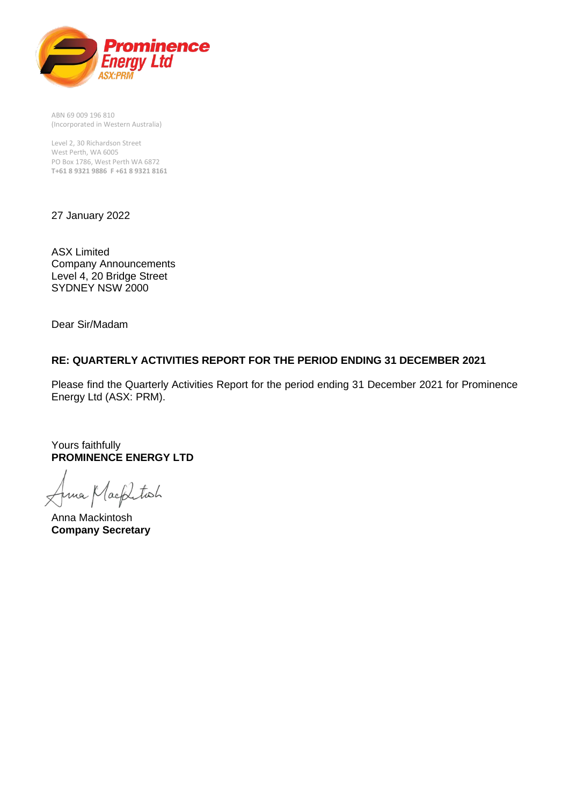

ABN 69 009 196 810 (Incorporated in Western Australia)

Level 2, 30 Richardson Street West Perth, WA 6005 PO Box 1786, West Perth WA 6872 **T+61 8 9321 9886 F +61 8 9321 8161**

27 January 2022

ASX Limited Company Announcements Level 4, 20 Bridge Street SYDNEY NSW 2000

Dear Sir/Madam

#### **RE: QUARTERLY ACTIVITIES REPORT FOR THE PERIOD ENDING 31 DECEMBER 2021**

Please find the Quarterly Activities Report for the period ending 31 December 2021 for Prominence Energy Ltd (ASX: PRM).

Yours faithfully **PROMINENCE ENERGY LTD**

na Macklitosh

Anna Mackintosh **Company Secretary**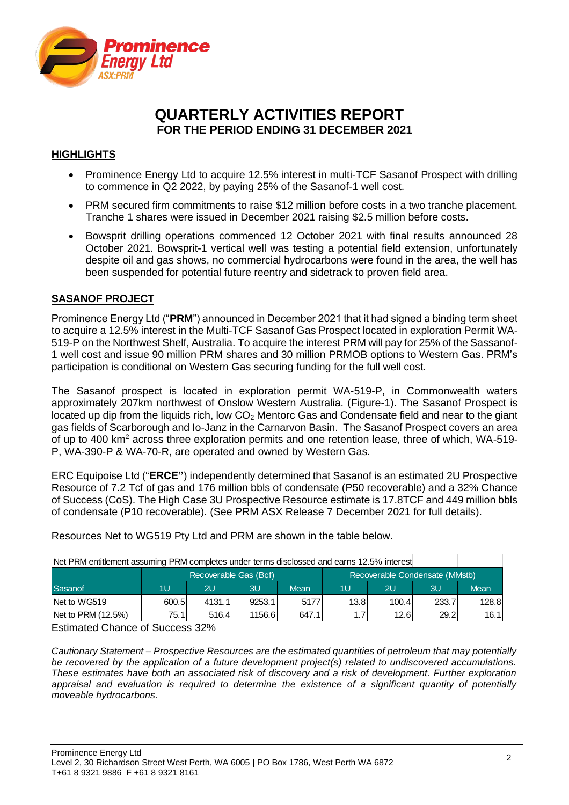

# **QUARTERLY ACTIVITIES REPORT FOR THE PERIOD ENDING 31 DECEMBER 2021**

### **HIGHLIGHTS**

- Prominence Energy Ltd to acquire 12.5% interest in multi-TCF Sasanof Prospect with drilling to commence in Q2 2022, by paying 25% of the Sasanof-1 well cost.
- PRM secured firm commitments to raise \$12 million before costs in a two tranche placement. Tranche 1 shares were issued in December 2021 raising \$2.5 million before costs.
- Bowsprit drilling operations commenced 12 October 2021 with final results announced 28 October 2021. Bowsprit-1 vertical well was testing a potential field extension, unfortunately despite oil and gas shows, no commercial hydrocarbons were found in the area, the well has been suspended for potential future reentry and sidetrack to proven field area.

#### **SASANOF PROJECT**

Prominence Energy Ltd ("**PRM**") announced in December 2021 that it had signed a binding term sheet to acquire a 12.5% interest in the Multi-TCF Sasanof Gas Prospect located in exploration Permit WA-519-P on the Northwest Shelf, Australia. To acquire the interest PRM will pay for 25% of the Sassanof-1 well cost and issue 90 million PRM shares and 30 million PRMOB options to Western Gas. PRM's participation is conditional on Western Gas securing funding for the full well cost.

The Sasanof prospect is located in exploration permit WA-519-P, in Commonwealth waters approximately 207km northwest of Onslow Western Australia. (Figure-1). The Sasanof Prospect is located up dip from the liquids rich, low  $CO<sub>2</sub>$  Mentorc Gas and Condensate field and near to the giant gas fields of Scarborough and Io-Janz in the Carnarvon Basin. The Sasanof Prospect covers an area of up to 400 km<sup>2</sup> across three exploration permits and one retention lease, three of which, WA-519- P, WA-390-P & WA-70-R, are operated and owned by Western Gas.

ERC Equipoise Ltd ("**ERCE"**) independently determined that Sasanof is an estimated 2U Prospective Resource of 7.2 Tcf of gas and 176 million bbls of condensate (P50 recoverable) and a 32% Chance of Success (CoS). The High Case 3U Prospective Resource estimate is 17.8TCF and 449 million bbls of condensate (P10 recoverable). (See PRM ASX Release 7 December 2021 for full details).

Resources Net to WG519 Pty Ltd and PRM are shown in the table below.

| Net PRM entitlement assuming PRM completes under terms disclossed and earns 12.5% interest |                                                         |        |        |             |      |       |       |       |
|--------------------------------------------------------------------------------------------|---------------------------------------------------------|--------|--------|-------------|------|-------|-------|-------|
|                                                                                            | Recoverable Condensate (MMstb)<br>Recoverable Gas (Bcf) |        |        |             |      |       |       |       |
| Sasanof                                                                                    | 1U                                                      | 2U     | 3U     | <b>Mean</b> | 1U   | 2U    | 3U    | Mean  |
| Net to WG519                                                                               | 600.5                                                   | 4131.1 | 9253.1 | 5177        | 13.8 | 100.4 | 233.7 | 128.8 |
| Net to PRM (12.5%)                                                                         | 75.1                                                    | 516.4  | 1156.6 | 647.1       |      | 12.6  | 29.2  | 16.1  |

Estimated Chance of Success 32%

*Cautionary Statement – Prospective Resources are the estimated quantities of petroleum that may potentially be recovered by the application of a future development project(s) related to undiscovered accumulations. These estimates have both an associated risk of discovery and a risk of development. Further exploration appraisal and evaluation is required to determine the existence of a significant quantity of potentially moveable hydrocarbons.*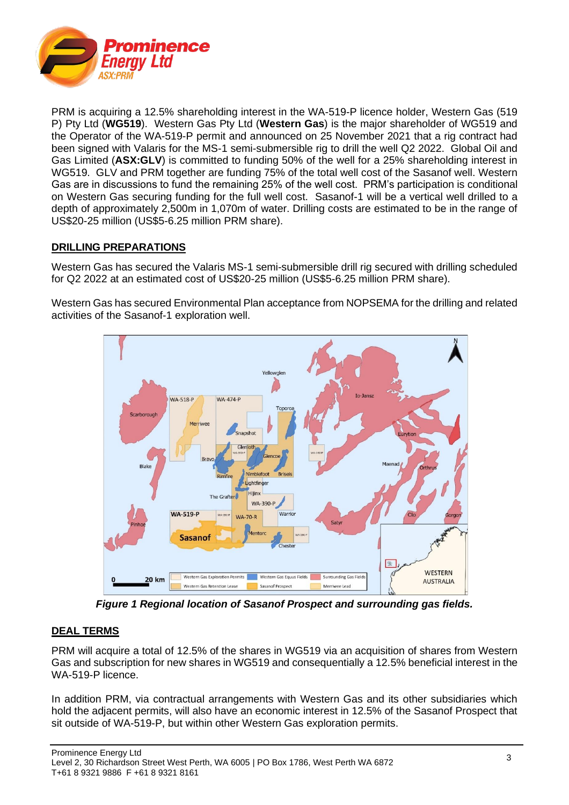

PRM is acquiring a 12.5% shareholding interest in the WA-519-P licence holder, Western Gas (519 P) Pty Ltd (**WG519**). Western Gas Pty Ltd (**Western Gas**) is the major shareholder of WG519 and the Operator of the WA-519-P permit and announced on 25 November 2021 that a rig contract had been signed with Valaris for the MS-1 semi-submersible rig to drill the well Q2 2022. Global Oil and Gas Limited (**ASX:GLV**) is committed to funding 50% of the well for a 25% shareholding interest in WG519. GLV and PRM together are funding 75% of the total well cost of the Sasanof well. Western Gas are in discussions to fund the remaining 25% of the well cost. PRM's participation is conditional on Western Gas securing funding for the full well cost. Sasanof-1 will be a vertical well drilled to a depth of approximately 2,500m in 1,070m of water. Drilling costs are estimated to be in the range of US\$20-25 million (US\$5-6.25 million PRM share).

#### **DRILLING PREPARATIONS**

Western Gas has secured the Valaris MS-1 semi-submersible drill rig secured with drilling scheduled for Q2 2022 at an estimated cost of US\$20-25 million (US\$5-6.25 million PRM share).

Western Gas has secured Environmental Plan acceptance from NOPSEMA for the drilling and related activities of the Sasanof-1 exploration well.



*Figure 1 Regional location of Sasanof Prospect and surrounding gas fields.* 

## **DEAL TERMS**

PRM will acquire a total of 12.5% of the shares in WG519 via an acquisition of shares from Western Gas and subscription for new shares in WG519 and consequentially a 12.5% beneficial interest in the WA-519-P licence.

In addition PRM, via contractual arrangements with Western Gas and its other subsidiaries which hold the adjacent permits, will also have an economic interest in 12.5% of the Sasanof Prospect that sit outside of WA-519-P, but within other Western Gas exploration permits.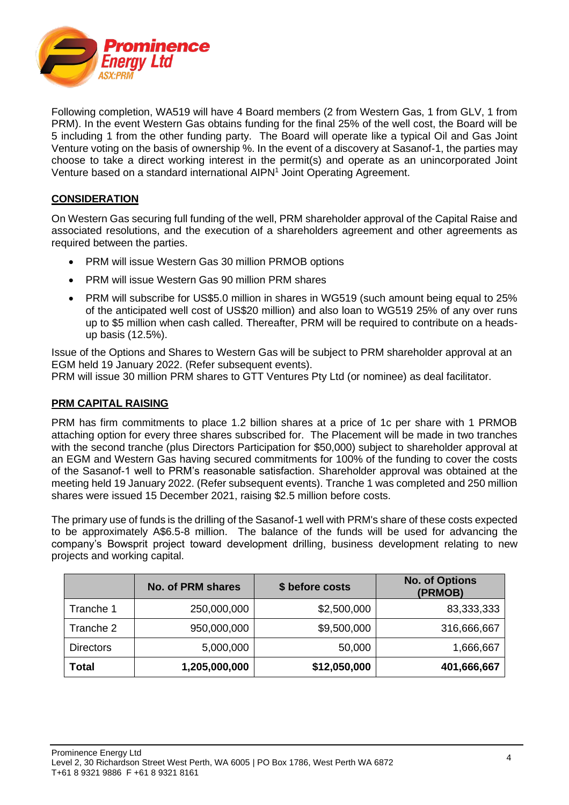

Following completion, WA519 will have 4 Board members (2 from Western Gas, 1 from GLV, 1 from PRM). In the event Western Gas obtains funding for the final 25% of the well cost, the Board will be 5 including 1 from the other funding party. The Board will operate like a typical Oil and Gas Joint Venture voting on the basis of ownership %. In the event of a discovery at Sasanof-1, the parties may choose to take a direct working interest in the permit(s) and operate as an unincorporated Joint Venture based on a standard international AIPN<sup>1</sup> Joint Operating Agreement.

#### **CONSIDERATION**

On Western Gas securing full funding of the well, PRM shareholder approval of the Capital Raise and associated resolutions, and the execution of a shareholders agreement and other agreements as required between the parties.

- PRM will issue Western Gas 30 million PRMOB options
- PRM will issue Western Gas 90 million PRM shares
- PRM will subscribe for US\$5.0 million in shares in WG519 (such amount being equal to 25% of the anticipated well cost of US\$20 million) and also loan to WG519 25% of any over runs up to \$5 million when cash called. Thereafter, PRM will be required to contribute on a headsup basis (12.5%).

Issue of the Options and Shares to Western Gas will be subject to PRM shareholder approval at an EGM held 19 January 2022. (Refer subsequent events).

PRM will issue 30 million PRM shares to GTT Ventures Pty Ltd (or nominee) as deal facilitator.

#### **PRM CAPITAL RAISING**

PRM has firm commitments to place 1.2 billion shares at a price of 1c per share with 1 PRMOB attaching option for every three shares subscribed for. The Placement will be made in two tranches with the second tranche (plus Directors Participation for \$50,000) subject to shareholder approval at an EGM and Western Gas having secured commitments for 100% of the funding to cover the costs of the Sasanof-1 well to PRM's reasonable satisfaction. Shareholder approval was obtained at the meeting held 19 January 2022. (Refer subsequent events). Tranche 1 was completed and 250 million shares were issued 15 December 2021, raising \$2.5 million before costs.

The primary use of funds is the drilling of the Sasanof-1 well with PRM's share of these costs expected to be approximately A\$6.5-8 million. The balance of the funds will be used for advancing the company's Bowsprit project toward development drilling, business development relating to new projects and working capital.

|                  | <b>No. of PRM shares</b> | \$ before costs | <b>No. of Options</b><br>(PRMOB) |
|------------------|--------------------------|-----------------|----------------------------------|
| Tranche 1        | 250,000,000              | \$2,500,000     | 83,333,333                       |
| Tranche 2        | 950,000,000              | \$9,500,000     | 316,666,667                      |
| <b>Directors</b> | 5,000,000                | 50,000          | 1,666,667                        |
| <b>Total</b>     | 1,205,000,000            | \$12,050,000    | 401,666,667                      |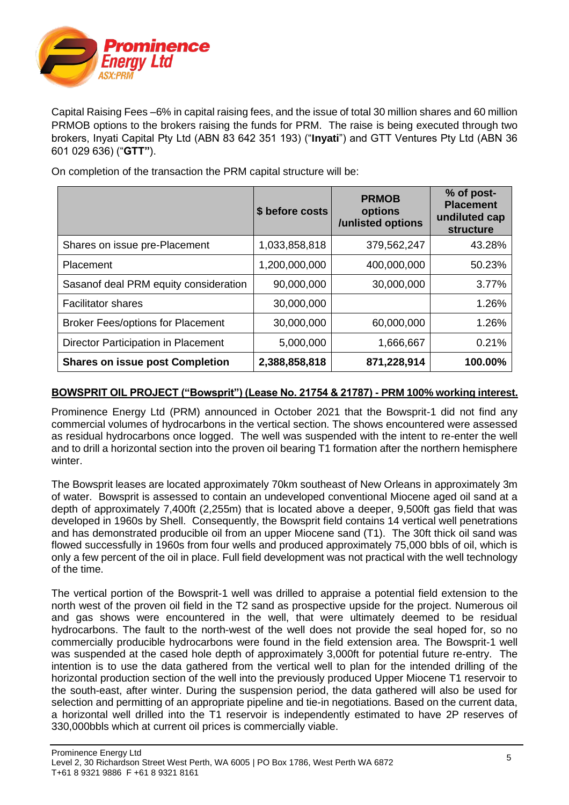

Capital Raising Fees –6% in capital raising fees, and the issue of total 30 million shares and 60 million PRMOB options to the brokers raising the funds for PRM. The raise is being executed through two brokers, Inyati Capital Pty Ltd (ABN 83 642 351 193) ("**Inyati**") and GTT Ventures Pty Ltd (ABN 36 601 029 636) ("**GTT"**).

|                                          | \$ before costs | <b>PRMOB</b><br>options<br>/unlisted options | % of post-<br><b>Placement</b><br>undiluted cap<br><b>structure</b> |
|------------------------------------------|-----------------|----------------------------------------------|---------------------------------------------------------------------|
| Shares on issue pre-Placement            | 1,033,858,818   | 379,562,247                                  | 43.28%                                                              |
| Placement                                | 1,200,000,000   | 400,000,000                                  | 50.23%                                                              |
| Sasanof deal PRM equity consideration    | 90,000,000      | 30,000,000                                   | 3.77%                                                               |
| <b>Facilitator shares</b>                | 30,000,000      |                                              | 1.26%                                                               |
| <b>Broker Fees/options for Placement</b> | 30,000,000      | 60,000,000                                   | 1.26%                                                               |
| Director Participation in Placement      | 5,000,000       | 1,666,667                                    | 0.21%                                                               |
| <b>Shares on issue post Completion</b>   | 2,388,858,818   | 871,228,914                                  | 100.00%                                                             |

On completion of the transaction the PRM capital structure will be:

#### **BOWSPRIT OIL PROJECT ("Bowsprit") (Lease No. 21754 & 21787) - PRM 100% working interest.**

Prominence Energy Ltd (PRM) announced in October 2021 that the Bowsprit-1 did not find any commercial volumes of hydrocarbons in the vertical section. The shows encountered were assessed as residual hydrocarbons once logged. The well was suspended with the intent to re-enter the well and to drill a horizontal section into the proven oil bearing T1 formation after the northern hemisphere winter.

The Bowsprit leases are located approximately 70km southeast of New Orleans in approximately 3m of water. Bowsprit is assessed to contain an undeveloped conventional Miocene aged oil sand at a depth of approximately 7,400ft (2,255m) that is located above a deeper, 9,500ft gas field that was developed in 1960s by Shell. Consequently, the Bowsprit field contains 14 vertical well penetrations and has demonstrated producible oil from an upper Miocene sand (T1). The 30ft thick oil sand was flowed successfully in 1960s from four wells and produced approximately 75,000 bbls of oil, which is only a few percent of the oil in place. Full field development was not practical with the well technology of the time.

The vertical portion of the Bowsprit-1 well was drilled to appraise a potential field extension to the north west of the proven oil field in the T2 sand as prospective upside for the project. Numerous oil and gas shows were encountered in the well, that were ultimately deemed to be residual hydrocarbons. The fault to the north-west of the well does not provide the seal hoped for, so no commercially producible hydrocarbons were found in the field extension area. The Bowsprit-1 well was suspended at the cased hole depth of approximately 3,000ft for potential future re-entry. The intention is to use the data gathered from the vertical well to plan for the intended drilling of the horizontal production section of the well into the previously produced Upper Miocene T1 reservoir to the south-east, after winter. During the suspension period, the data gathered will also be used for selection and permitting of an appropriate pipeline and tie-in negotiations. Based on the current data, a horizontal well drilled into the T1 reservoir is independently estimated to have 2P reserves of 330,000bbls which at current oil prices is commercially viable.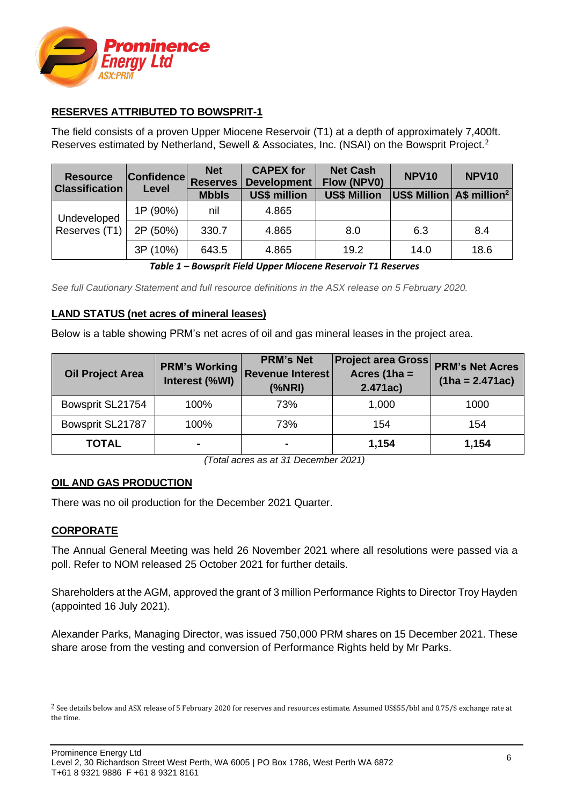

### **RESERVES ATTRIBUTED TO BOWSPRIT-1**

The field consists of a proven Upper Miocene Reservoir (T1) at a depth of approximately 7,400ft. Reserves estimated by Netherland, Sewell & Associates, Inc. (NSAI) on the Bowsprit Project.<sup>2</sup>

| <b>Resource</b><br><b>Classification</b> | <b>Confidence</b><br>Level | <b>Net</b><br><b>Reserves</b> | <b>CAPEX for</b><br><b>Development</b> | <b>Net Cash</b><br>Flow (NPV0) | <b>NPV10</b>                                            | <b>NPV10</b> |
|------------------------------------------|----------------------------|-------------------------------|----------------------------------------|--------------------------------|---------------------------------------------------------|--------------|
|                                          |                            | <b>Mbbls</b>                  | <b>US\$ million</b>                    | <b>US\$ Million</b>            | $ \mathsf{USS}\ \mathsf{Million} $ A\$ million $^2$ $ $ |              |
| Undeveloped                              | 1P (90%)                   | nil                           | 4.865                                  |                                |                                                         |              |
| Reserves (T1)                            | 2P (50%)                   | 330.7                         | 4.865                                  | 8.0                            | 6.3                                                     | 8.4          |
|                                          | 3P (10%)                   | 643.5                         | 4.865                                  | 19.2                           | 14.0                                                    | 18.6         |

*Table 1 – Bowsprit Field Upper Miocene Reservoir T1 Reserves*

*See full Cautionary Statement and full resource definitions in the ASX release on 5 February 2020.*

#### **LAND STATUS (net acres of mineral leases)**

Below is a table showing PRM's net acres of oil and gas mineral leases in the project area.

| <b>Oil Project Area</b> | <b>PRM's Working</b><br>Interest (%WI) | <b>PRM's Net</b><br><b>Revenue Interest</b><br>$(%$ (%NRI) | <b>Project area Gross</b><br>Acres (1ha $=$<br>2.471ac) | <b>PRM's Net Acres</b><br>$(1ha = 2.471ac)$ |
|-------------------------|----------------------------------------|------------------------------------------------------------|---------------------------------------------------------|---------------------------------------------|
| Bowsprit SL21754        | 100%                                   | 73%                                                        | 1,000                                                   | 1000                                        |
| Bowsprit SL21787        | 100%                                   | 73%                                                        | 154                                                     | 154                                         |
| <b>TOTAL</b>            | $\overline{\phantom{a}}$               | $\blacksquare$                                             | 1,154                                                   | 1,154                                       |

*(Total acres as at 31 December 2021)*

#### **OIL AND GAS PRODUCTION**

There was no oil production for the December 2021 Quarter.

#### **CORPORATE**

The Annual General Meeting was held 26 November 2021 where all resolutions were passed via a poll. Refer to NOM released 25 October 2021 for further details.

Shareholders at the AGM, approved the grant of 3 million Performance Rights to Director Troy Hayden (appointed 16 July 2021).

Alexander Parks, Managing Director, was issued 750,000 PRM shares on 15 December 2021. These share arose from the vesting and conversion of Performance Rights held by Mr Parks.

<sup>&</sup>lt;sup>2</sup> See details below and ASX release of 5 February 2020 for reserves and resources estimate. Assumed US\$55/bbl and 0.75/\$ exchange rate at the time.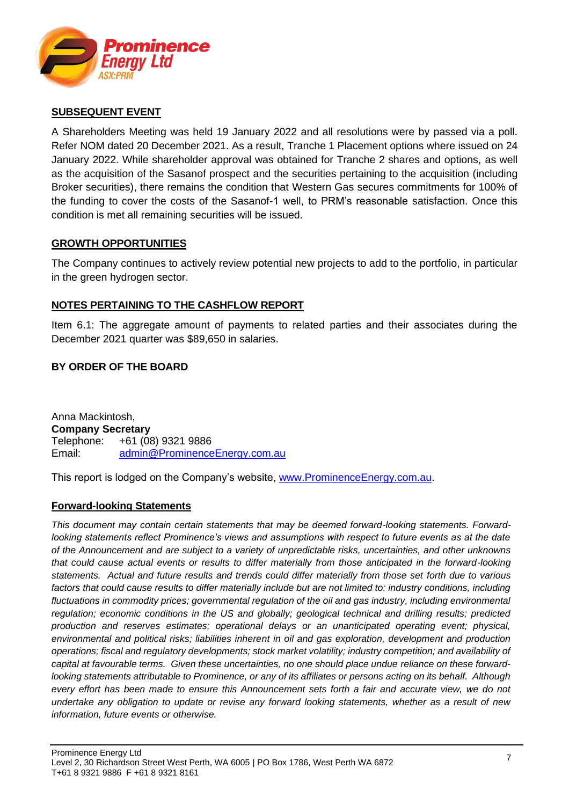

#### **SUBSEQUENT EVENT**

A Shareholders Meeting was held 19 January 2022 and all resolutions were by passed via a poll. Refer NOM dated 20 December 2021. As a result, Tranche 1 Placement options where issued on 24 January 2022. While shareholder approval was obtained for Tranche 2 shares and options, as well as the acquisition of the Sasanof prospect and the securities pertaining to the acquisition (including Broker securities), there remains the condition that Western Gas secures commitments for 100% of the funding to cover the costs of the Sasanof-1 well, to PRM's reasonable satisfaction. Once this condition is met all remaining securities will be issued.

#### **GROWTH OPPORTUNITIES**

The Company continues to actively review potential new projects to add to the portfolio, in particular in the green hydrogen sector.

#### **NOTES PERTAINING TO THE CASHFLOW REPORT**

Item 6.1: The aggregate amount of payments to related parties and their associates during the December 2021 quarter was \$89,650 in salaries.

#### **BY ORDER OF THE BOARD**

Anna Mackintosh, **Company Secretary** Telephone: +61 (08) 9321 9886 Email: [admin@ProminenceEnergy.com.au](mailto:admin@ProminenceEnergy.com.au)

This report is lodged on the Company's website, [www.ProminenceEnergy.com.au.](http://www.prominenceenergy.com.au/)

#### **Forward-looking Statements**

*This document may contain certain statements that may be deemed forward-looking statements. Forwardlooking statements reflect Prominence's views and assumptions with respect to future events as at the date of the Announcement and are subject to a variety of unpredictable risks, uncertainties, and other unknowns that could cause actual events or results to differ materially from those anticipated in the forward-looking statements. Actual and future results and trends could differ materially from those set forth due to various factors that could cause results to differ materially include but are not limited to: industry conditions, including fluctuations in commodity prices; governmental regulation of the oil and gas industry, including environmental regulation; economic conditions in the US and globally; geological technical and drilling results; predicted production and reserves estimates; operational delays or an unanticipated operating event; physical, environmental and political risks; liabilities inherent in oil and gas exploration, development and production operations; fiscal and regulatory developments; stock market volatility; industry competition; and availability of capital at favourable terms. Given these uncertainties, no one should place undue reliance on these forwardlooking statements attributable to Prominence, or any of its affiliates or persons acting on its behalf. Although every effort has been made to ensure this Announcement sets forth a fair and accurate view, we do not undertake any obligation to update or revise any forward looking statements, whether as a result of new information, future events or otherwise.*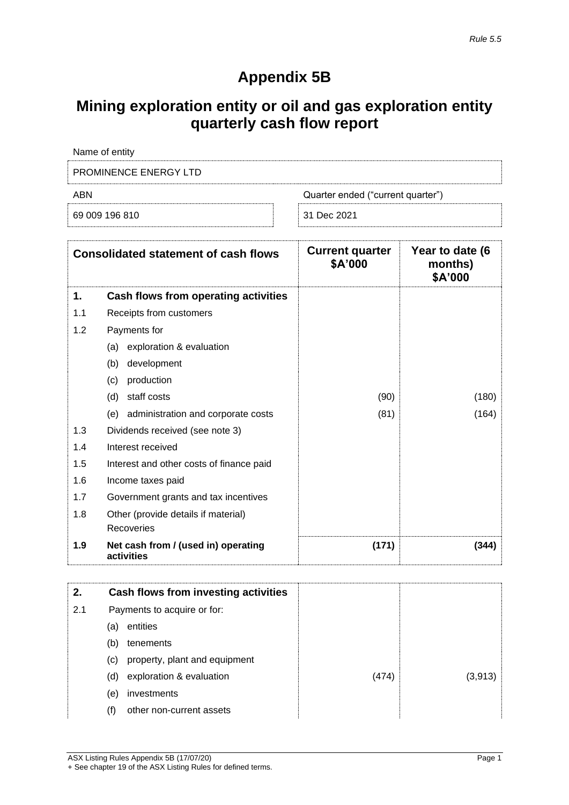# **Appendix 5B**

# **Mining exploration entity or oil and gas exploration entity quarterly cash flow report**

| Name of entity               |                                   |
|------------------------------|-----------------------------------|
| <b>PROMINENCE ENERGY LTD</b> |                                   |
| ABN                          | Quarter ended ("current quarter") |
| 69 009 196 810               | 31 Dec 2021                       |

|     | <b>Consolidated statement of cash flows</b>       | <b>Current quarter</b><br>\$A'000 | Year to date (6<br>months)<br>\$A'000 |
|-----|---------------------------------------------------|-----------------------------------|---------------------------------------|
| 1.  | Cash flows from operating activities              |                                   |                                       |
| 1.1 | Receipts from customers                           |                                   |                                       |
| 1.2 | Payments for                                      |                                   |                                       |
|     | exploration & evaluation<br>(a)                   |                                   |                                       |
|     | (b)<br>development                                |                                   |                                       |
|     | (c)<br>production                                 |                                   |                                       |
|     | staff costs<br>(d)                                | (90)                              | (180)                                 |
|     | (e) administration and corporate costs            | (81)                              | (164)                                 |
| 1.3 | Dividends received (see note 3)                   |                                   |                                       |
| 1.4 | Interest received                                 |                                   |                                       |
| 1.5 | Interest and other costs of finance paid          |                                   |                                       |
| 1.6 | Income taxes paid                                 |                                   |                                       |
| 1.7 | Government grants and tax incentives              |                                   |                                       |
| 1.8 | Other (provide details if material)               |                                   |                                       |
|     | Recoveries                                        |                                   |                                       |
| 1.9 | Net cash from / (used in) operating<br>activities | (171)                             | (344)                                 |

| 2.  |     | Cash flows from investing activities |       |         |
|-----|-----|--------------------------------------|-------|---------|
| 2.1 |     | Payments to acquire or for:          |       |         |
|     | (a) | entities                             |       |         |
|     | (b) | tenements                            |       |         |
|     | (C) | property, plant and equipment        |       |         |
|     | (d) | exploration & evaluation             | (474) | (3,913) |
|     | (e) | investments                          |       |         |
|     | (f) | other non-current assets             |       |         |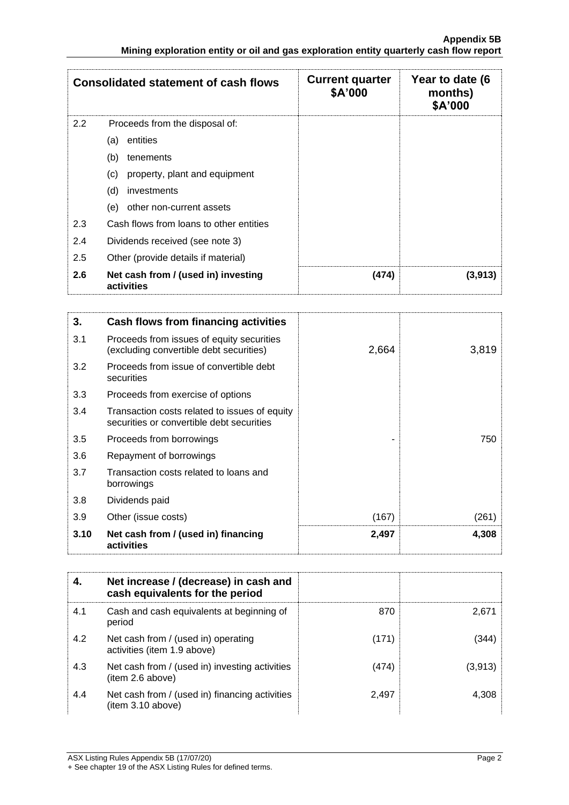|     | <b>Consolidated statement of cash flows</b>       | <b>Current quarter</b><br>\$A'000 | Year to date (6<br>months)<br>\$A'000 |
|-----|---------------------------------------------------|-----------------------------------|---------------------------------------|
| 2.2 | Proceeds from the disposal of:                    |                                   |                                       |
|     | entities<br>(a)                                   |                                   |                                       |
|     | (b)<br>tenements                                  |                                   |                                       |
|     | property, plant and equipment<br>(c)              |                                   |                                       |
|     | (d)<br>investments                                |                                   |                                       |
|     | other non-current assets<br>(e)                   |                                   |                                       |
| 2.3 | Cash flows from loans to other entities           |                                   |                                       |
| 2.4 | Dividends received (see note 3)                   |                                   |                                       |
| 2.5 | Other (provide details if material)               |                                   |                                       |
| 2.6 | Net cash from / (used in) investing<br>activities | (474)                             | (3,913)                               |

| 3.   | Cash flows from financing activities                                                       |       |       |
|------|--------------------------------------------------------------------------------------------|-------|-------|
| 3.1  | Proceeds from issues of equity securities<br>(excluding convertible debt securities)       | 2,664 | 3,819 |
| 3.2  | Proceeds from issue of convertible debt<br>securities                                      |       |       |
| 3.3  | Proceeds from exercise of options                                                          |       |       |
| 3.4  | Transaction costs related to issues of equity<br>securities or convertible debt securities |       |       |
| 3.5  | Proceeds from borrowings                                                                   |       | 750   |
| 3.6  | Repayment of borrowings                                                                    |       |       |
| 3.7  | Transaction costs related to loans and<br>borrowings                                       |       |       |
| 3.8  | Dividends paid                                                                             |       |       |
| 3.9  | Other (issue costs)                                                                        | (167) | (261) |
| 3.10 | Net cash from / (used in) financing<br>activities                                          | 2,497 | 4,308 |

|     | Net increase / (decrease) in cash and<br>cash equivalents for the period |       |         |
|-----|--------------------------------------------------------------------------|-------|---------|
| 4.1 | Cash and cash equivalents at beginning of<br>period                      | 870   | 2.671   |
| 4.2 | Net cash from / (used in) operating<br>activities (item 1.9 above)       | (171) | (344)   |
| 4.3 | Net cash from / (used in) investing activities<br>(item 2.6 above)       | (474) | (3,913) |
| 4.4 | Net cash from / (used in) financing activities<br>(item 3.10 above)      | 2,497 | 4.308   |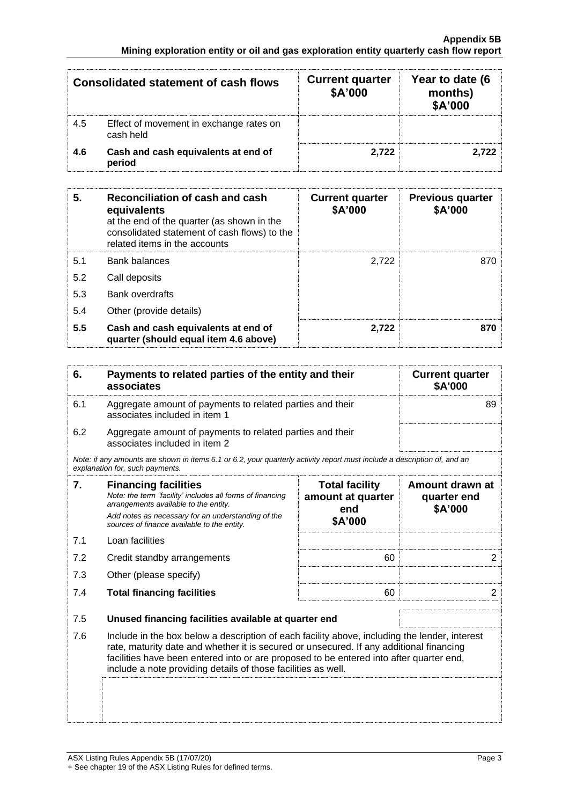| Consolidated statement of cash flows |                                                      | <b>Current quarter</b><br>\$A'000 | Year to date (6<br>months)<br>\$A'000 |
|--------------------------------------|------------------------------------------------------|-----------------------------------|---------------------------------------|
| 4.5                                  | Effect of movement in exchange rates on<br>cash held |                                   |                                       |
| 4.6                                  | Cash and cash equivalents at end of<br>period        | 2.722                             | 2.722                                 |

| 5.  | Reconciliation of cash and cash<br>equivalents<br>at the end of the quarter (as shown in the<br>consolidated statement of cash flows) to the<br>related items in the accounts | <b>Current quarter</b><br>\$A'000 | <b>Previous quarter</b><br>\$A'000 |
|-----|-------------------------------------------------------------------------------------------------------------------------------------------------------------------------------|-----------------------------------|------------------------------------|
| 5.1 | <b>Bank balances</b>                                                                                                                                                          | 2.722                             | 870                                |
| 5.2 | Call deposits                                                                                                                                                                 |                                   |                                    |
| 5.3 | <b>Bank overdrafts</b>                                                                                                                                                        |                                   |                                    |
| 5.4 | Other (provide details)                                                                                                                                                       |                                   |                                    |
| 5.5 | Cash and cash equivalents at end of<br>quarter (should equal item 4.6 above)                                                                                                  | 2,722                             | 870                                |

| 6.  | Payments to related parties of the entity and their<br>associates                          | <b>Current quarter</b><br>\$A'000 |
|-----|--------------------------------------------------------------------------------------------|-----------------------------------|
| 6.1 | Aggregate amount of payments to related parties and their<br>associates included in item 1 |                                   |
| 6.2 | Aggregate amount of payments to related parties and their<br>associates included in item 2 |                                   |
|     |                                                                                            |                                   |

*Note: if any amounts are shown in items 6.1 or 6.2, your quarterly activity report must include a description of, and an explanation for, such payments.*

| 7.  | <b>Financing facilities</b><br>Note: the term "facility' includes all forms of financing<br>arrangements available to the entity.<br>Add notes as necessary for an understanding of the<br>sources of finance available to the entity.                                                                                                               | <b>Total facility</b><br>amount at quarter<br>end<br>\$A'000 | Amount drawn at<br>quarter end<br>\$A'000 |
|-----|------------------------------------------------------------------------------------------------------------------------------------------------------------------------------------------------------------------------------------------------------------------------------------------------------------------------------------------------------|--------------------------------------------------------------|-------------------------------------------|
| 7.1 | Loan facilities                                                                                                                                                                                                                                                                                                                                      |                                                              |                                           |
| 7.2 | Credit standby arrangements                                                                                                                                                                                                                                                                                                                          |                                                              | 2                                         |
| 7.3 | Other (please specify)                                                                                                                                                                                                                                                                                                                               |                                                              |                                           |
| 7.4 | <b>Total financing facilities</b>                                                                                                                                                                                                                                                                                                                    | 60                                                           | 2                                         |
| 7.5 | Unused financing facilities available at quarter end                                                                                                                                                                                                                                                                                                 |                                                              |                                           |
| 7.6 | Include in the box below a description of each facility above, including the lender, interest<br>rate, maturity date and whether it is secured or unsecured. If any additional financing<br>facilities have been entered into or are proposed to be entered into after quarter end,<br>include a note providing details of those facilities as well. |                                                              |                                           |
|     |                                                                                                                                                                                                                                                                                                                                                      |                                                              |                                           |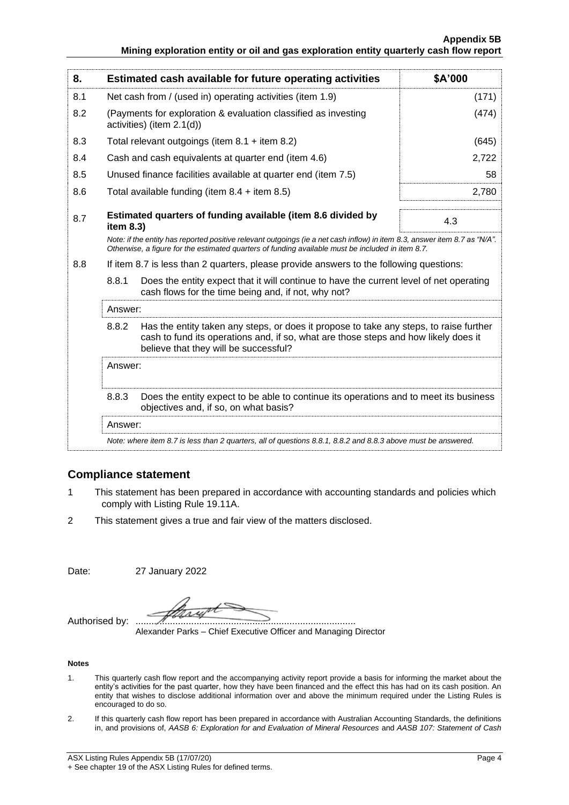| 8.  |                                                                                                                                                                                                                                 | Estimated cash available for future operating activities                                                                       | \$A'000 |  |
|-----|---------------------------------------------------------------------------------------------------------------------------------------------------------------------------------------------------------------------------------|--------------------------------------------------------------------------------------------------------------------------------|---------|--|
| 8.1 | Net cash from / (used in) operating activities (item 1.9)                                                                                                                                                                       |                                                                                                                                | (171)   |  |
| 8.2 | (Payments for exploration & evaluation classified as investing<br>activities) (item 2.1(d))                                                                                                                                     |                                                                                                                                | (474)   |  |
| 8.3 |                                                                                                                                                                                                                                 | Total relevant outgoings (item $8.1 +$ item $8.2$ )                                                                            | (645)   |  |
| 8.4 |                                                                                                                                                                                                                                 | Cash and cash equivalents at quarter end (item 4.6)                                                                            | 2,722   |  |
| 8.5 | Unused finance facilities available at quarter end (item 7.5)                                                                                                                                                                   |                                                                                                                                |         |  |
| 8.6 | 2,780<br>Total available funding (item $8.4 +$ item $8.5$ )                                                                                                                                                                     |                                                                                                                                |         |  |
| 8.7 | Estimated quarters of funding available (item 8.6 divided by<br>item 8.3)                                                                                                                                                       |                                                                                                                                | 4.3     |  |
|     | Note: if the entity has reported positive relevant outgoings (ie a net cash inflow) in item 8.3, answer item 8.7 as "N/A".<br>Otherwise, a figure for the estimated quarters of funding available must be included in item 8.7. |                                                                                                                                |         |  |
| 8.8 | If item 8.7 is less than 2 quarters, please provide answers to the following questions:                                                                                                                                         |                                                                                                                                |         |  |
|     | 8.8.1<br>Does the entity expect that it will continue to have the current level of net operating<br>cash flows for the time being and, if not, why not?                                                                         |                                                                                                                                |         |  |
|     | Answer:                                                                                                                                                                                                                         |                                                                                                                                |         |  |
|     | 8.8.2<br>Has the entity taken any steps, or does it propose to take any steps, to raise further<br>cash to fund its operations and, if so, what are those steps and how likely does it<br>believe that they will be successful? |                                                                                                                                |         |  |
|     | Answer:                                                                                                                                                                                                                         |                                                                                                                                |         |  |
|     | 8.8.3                                                                                                                                                                                                                           | Does the entity expect to be able to continue its operations and to meet its business<br>objectives and, if so, on what basis? |         |  |
|     | Answer:                                                                                                                                                                                                                         |                                                                                                                                |         |  |
|     | Note: where item 8.7 is less than 2 quarters, all of questions 8.8.1, 8.8.2 and 8.8.3 above must be answered.                                                                                                                   |                                                                                                                                |         |  |
|     |                                                                                                                                                                                                                                 |                                                                                                                                |         |  |

#### **Compliance statement**

- 1 This statement has been prepared in accordance with accounting standards and policies which comply with Listing Rule 19.11A.
- 2 This statement gives a true and fair view of the matters disclosed.

Date: 27 January 2022

x Authorised by: ...................................................................................

Alexander Parks – Chief Executive Officer and Managing Director

#### **Notes**

- 1. This quarterly cash flow report and the accompanying activity report provide a basis for informing the market about the entity's activities for the past quarter, how they have been financed and the effect this has had on its cash position. An entity that wishes to disclose additional information over and above the minimum required under the Listing Rules is encouraged to do so.
- 2. If this quarterly cash flow report has been prepared in accordance with Australian Accounting Standards, the definitions in, and provisions of, *AASB 6: Exploration for and Evaluation of Mineral Resources* and *AASB 107: Statement of Cash*